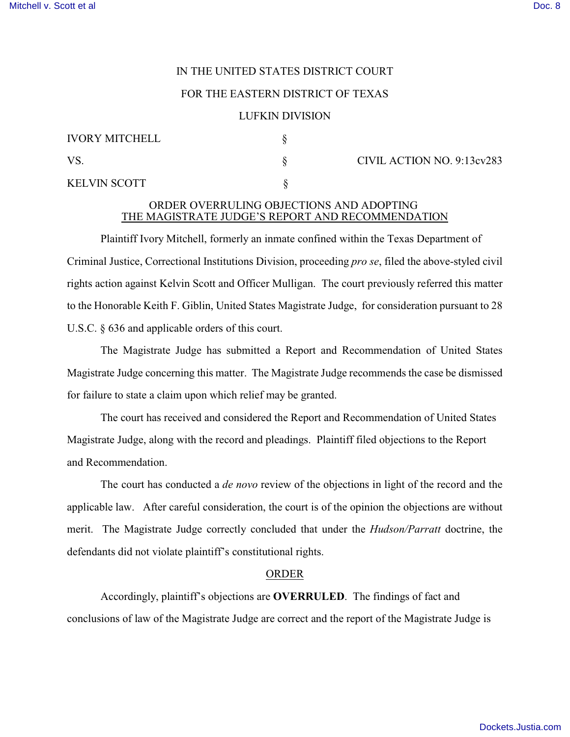# IN THE UNITED STATES DISTRICT COURT

### FOR THE EASTERN DISTRICT OF TEXAS

#### LUFKIN DIVISION

| <b>IVORY MITCHELL</b> |  |
|-----------------------|--|
| VS.                   |  |
| <b>KELVIN SCOTT</b>   |  |

 $\gamma$ S. CIVIL ACTION NO. 9:13cv283

## ORDER OVERRULING OBJECTIONS AND ADOPTING THE MAGISTRATE JUDGE'S REPORT AND RECOMMENDATION

Plaintiff Ivory Mitchell, formerly an inmate confined within the Texas Department of Criminal Justice, Correctional Institutions Division, proceeding *pro se*, filed the above-styled civil rights action against Kelvin Scott and Officer Mulligan. The court previously referred this matter to the Honorable Keith F. Giblin, United States Magistrate Judge, for consideration pursuant to 28 U.S.C. § 636 and applicable orders of this court.

The Magistrate Judge has submitted a Report and Recommendation of United States Magistrate Judge concerning this matter. The Magistrate Judge recommends the case be dismissed for failure to state a claim upon which relief may be granted.

The court has received and considered the Report and Recommendation of United States Magistrate Judge, along with the record and pleadings. Plaintiff filed objections to the Report and Recommendation.

The court has conducted a *de novo* review of the objections in light of the record and the applicable law. After careful consideration, the court is of the opinion the objections are without merit. The Magistrate Judge correctly concluded that under the *Hudson/Parratt* doctrine, the defendants did not violate plaintiff's constitutional rights.

### ORDER

Accordingly, plaintiff's objections are **OVERRULED**. The findings of fact and conclusions of law of the Magistrate Judge are correct and the report of the Magistrate Judge is